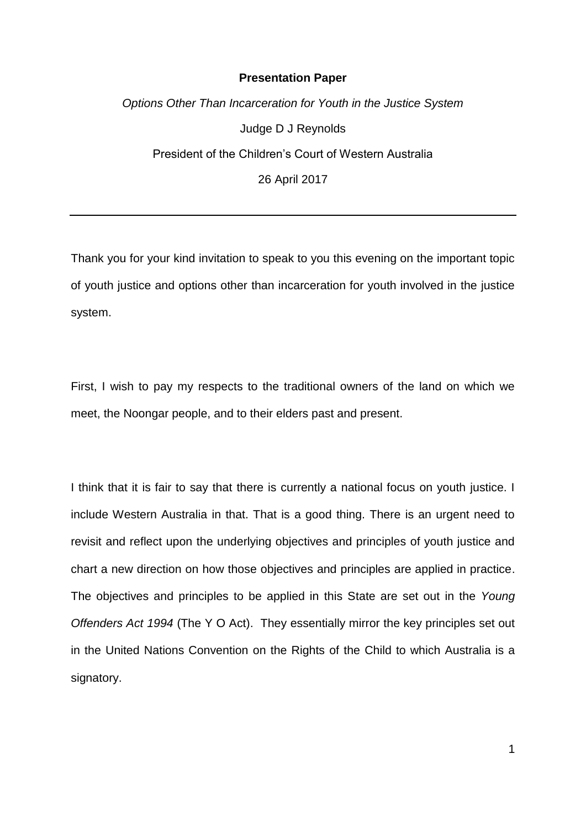## **Presentation Paper**

*Options Other Than Incarceration for Youth in the Justice System* Judge D J Reynolds President of the Children's Court of Western Australia 26 April 2017

Thank you for your kind invitation to speak to you this evening on the important topic of youth justice and options other than incarceration for youth involved in the justice system.

First, I wish to pay my respects to the traditional owners of the land on which we meet, the Noongar people, and to their elders past and present.

I think that it is fair to say that there is currently a national focus on youth justice. I include Western Australia in that. That is a good thing. There is an urgent need to revisit and reflect upon the underlying objectives and principles of youth justice and chart a new direction on how those objectives and principles are applied in practice. The objectives and principles to be applied in this State are set out in the *Young Offenders Act 1994* (The Y O Act). They essentially mirror the key principles set out in the United Nations Convention on the Rights of the Child to which Australia is a signatory.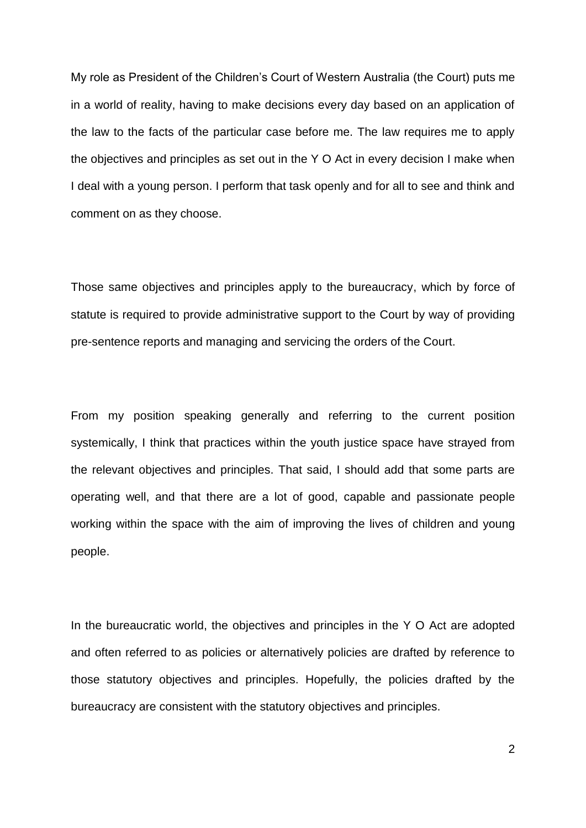My role as President of the Children's Court of Western Australia (the Court) puts me in a world of reality, having to make decisions every day based on an application of the law to the facts of the particular case before me. The law requires me to apply the objectives and principles as set out in the Y O Act in every decision I make when I deal with a young person. I perform that task openly and for all to see and think and comment on as they choose.

Those same objectives and principles apply to the bureaucracy, which by force of statute is required to provide administrative support to the Court by way of providing pre-sentence reports and managing and servicing the orders of the Court.

From my position speaking generally and referring to the current position systemically, I think that practices within the youth justice space have strayed from the relevant objectives and principles. That said, I should add that some parts are operating well, and that there are a lot of good, capable and passionate people working within the space with the aim of improving the lives of children and young people.

In the bureaucratic world, the objectives and principles in the Y O Act are adopted and often referred to as policies or alternatively policies are drafted by reference to those statutory objectives and principles. Hopefully, the policies drafted by the bureaucracy are consistent with the statutory objectives and principles.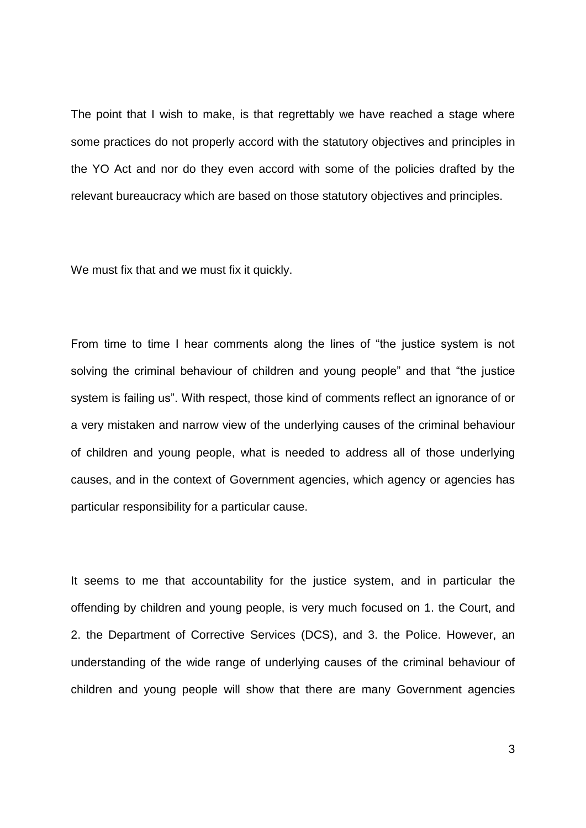The point that I wish to make, is that regrettably we have reached a stage where some practices do not properly accord with the statutory objectives and principles in the YO Act and nor do they even accord with some of the policies drafted by the relevant bureaucracy which are based on those statutory objectives and principles.

We must fix that and we must fix it quickly.

From time to time I hear comments along the lines of "the justice system is not solving the criminal behaviour of children and young people" and that "the justice system is failing us". With respect, those kind of comments reflect an ignorance of or a very mistaken and narrow view of the underlying causes of the criminal behaviour of children and young people, what is needed to address all of those underlying causes, and in the context of Government agencies, which agency or agencies has particular responsibility for a particular cause.

It seems to me that accountability for the justice system, and in particular the offending by children and young people, is very much focused on 1. the Court, and 2. the Department of Corrective Services (DCS), and 3. the Police. However, an understanding of the wide range of underlying causes of the criminal behaviour of children and young people will show that there are many Government agencies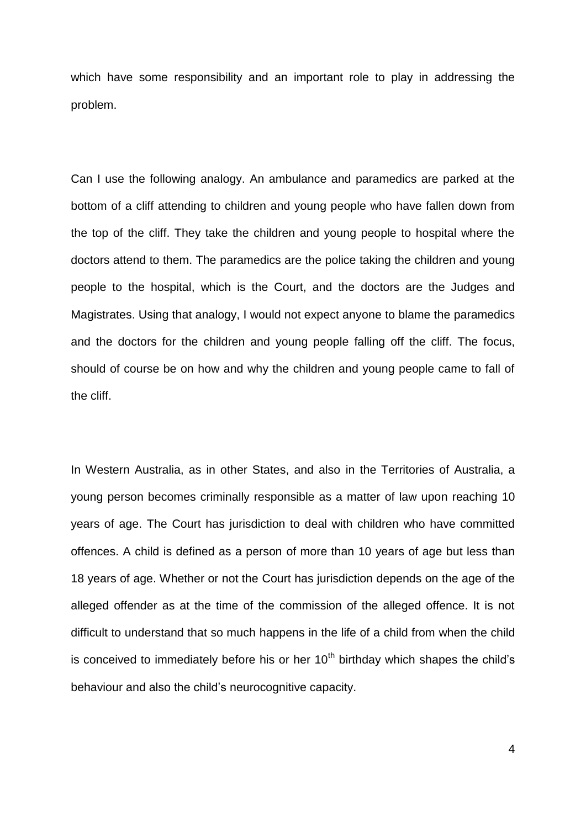which have some responsibility and an important role to play in addressing the problem.

Can I use the following analogy. An ambulance and paramedics are parked at the bottom of a cliff attending to children and young people who have fallen down from the top of the cliff. They take the children and young people to hospital where the doctors attend to them. The paramedics are the police taking the children and young people to the hospital, which is the Court, and the doctors are the Judges and Magistrates. Using that analogy, I would not expect anyone to blame the paramedics and the doctors for the children and young people falling off the cliff. The focus, should of course be on how and why the children and young people came to fall of the cliff.

In Western Australia, as in other States, and also in the Territories of Australia, a young person becomes criminally responsible as a matter of law upon reaching 10 years of age. The Court has jurisdiction to deal with children who have committed offences. A child is defined as a person of more than 10 years of age but less than 18 years of age. Whether or not the Court has jurisdiction depends on the age of the alleged offender as at the time of the commission of the alleged offence. It is not difficult to understand that so much happens in the life of a child from when the child is conceived to immediately before his or her  $10<sup>th</sup>$  birthday which shapes the child's behaviour and also the child's neurocognitive capacity.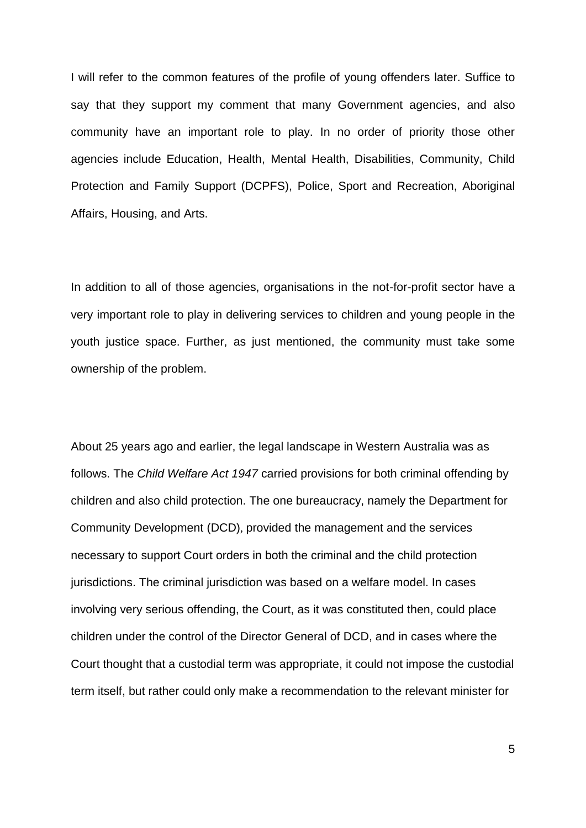I will refer to the common features of the profile of young offenders later. Suffice to say that they support my comment that many Government agencies, and also community have an important role to play. In no order of priority those other agencies include Education, Health, Mental Health, Disabilities, Community, Child Protection and Family Support (DCPFS), Police, Sport and Recreation, Aboriginal Affairs, Housing, and Arts.

In addition to all of those agencies, organisations in the not-for-profit sector have a very important role to play in delivering services to children and young people in the youth justice space. Further, as just mentioned, the community must take some ownership of the problem.

About 25 years ago and earlier, the legal landscape in Western Australia was as follows. The *Child Welfare Act 1947* carried provisions for both criminal offending by children and also child protection. The one bureaucracy, namely the Department for Community Development (DCD), provided the management and the services necessary to support Court orders in both the criminal and the child protection jurisdictions. The criminal jurisdiction was based on a welfare model. In cases involving very serious offending, the Court, as it was constituted then, could place children under the control of the Director General of DCD, and in cases where the Court thought that a custodial term was appropriate, it could not impose the custodial term itself, but rather could only make a recommendation to the relevant minister for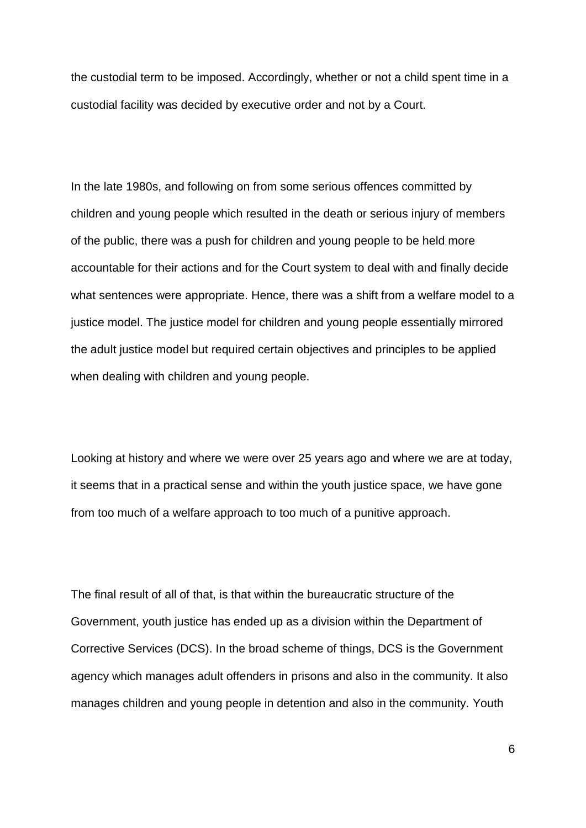the custodial term to be imposed. Accordingly, whether or not a child spent time in a custodial facility was decided by executive order and not by a Court.

In the late 1980s, and following on from some serious offences committed by children and young people which resulted in the death or serious injury of members of the public, there was a push for children and young people to be held more accountable for their actions and for the Court system to deal with and finally decide what sentences were appropriate. Hence, there was a shift from a welfare model to a justice model. The justice model for children and young people essentially mirrored the adult justice model but required certain objectives and principles to be applied when dealing with children and young people.

Looking at history and where we were over 25 years ago and where we are at today, it seems that in a practical sense and within the youth justice space, we have gone from too much of a welfare approach to too much of a punitive approach.

The final result of all of that, is that within the bureaucratic structure of the Government, youth justice has ended up as a division within the Department of Corrective Services (DCS). In the broad scheme of things, DCS is the Government agency which manages adult offenders in prisons and also in the community. It also manages children and young people in detention and also in the community. Youth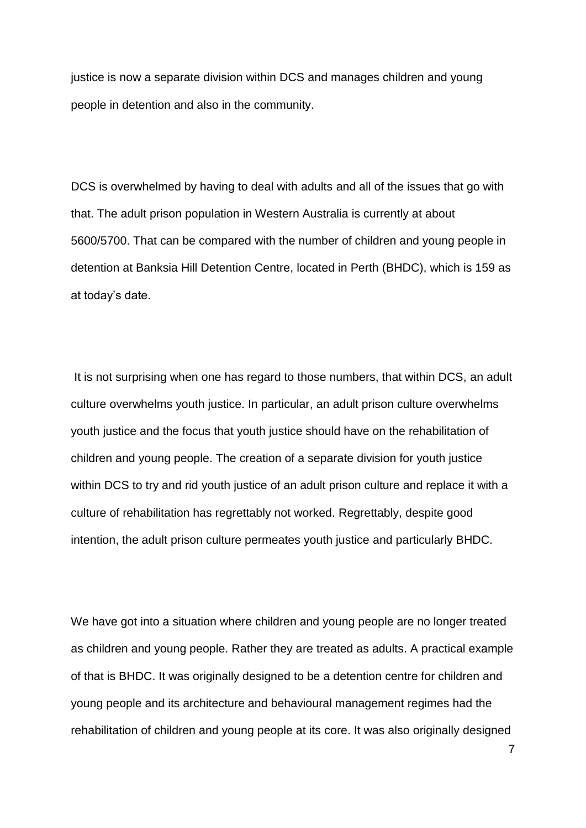justice is now a separate division within DCS and manages children and young people in detention and also in the community.

DCS is overwhelmed by having to deal with adults and all of the issues that go with that. The adult prison population in Western Australia is currently at about 5600/5700. That can be compared with the number of children and young people in detention at Banksia Hill Detention Centre, located in Perth (BHDC), which is 159 as at today's date.

It is not surprising when one has regard to those numbers, that within DCS, an adult culture overwhelms youth justice. In particular, an adult prison culture overwhelms youth justice and the focus that youth justice should have on the rehabilitation of children and young people. The creation of a separate division for youth justice within DCS to try and rid youth justice of an adult prison culture and replace it with a culture of rehabilitation has regrettably not worked. Regrettably, despite good intention, the adult prison culture permeates youth justice and particularly BHDC.

We have got into a situation where children and young people are no longer treated as children and young people. Rather they are treated as adults. A practical example of that is BHDC. It was originally designed to be a detention centre for children and young people and its architecture and behavioural management regimes had the rehabilitation of children and young people at its core. It was also originally designed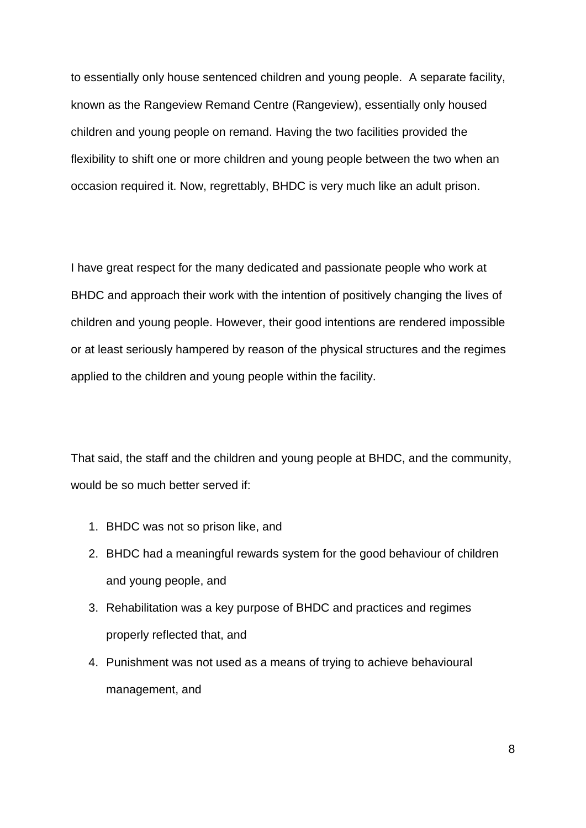to essentially only house sentenced children and young people. A separate facility, known as the Rangeview Remand Centre (Rangeview), essentially only housed children and young people on remand. Having the two facilities provided the flexibility to shift one or more children and young people between the two when an occasion required it. Now, regrettably, BHDC is very much like an adult prison.

I have great respect for the many dedicated and passionate people who work at BHDC and approach their work with the intention of positively changing the lives of children and young people. However, their good intentions are rendered impossible or at least seriously hampered by reason of the physical structures and the regimes applied to the children and young people within the facility.

That said, the staff and the children and young people at BHDC, and the community, would be so much better served if:

- 1. BHDC was not so prison like, and
- 2. BHDC had a meaningful rewards system for the good behaviour of children and young people, and
- 3. Rehabilitation was a key purpose of BHDC and practices and regimes properly reflected that, and
- 4. Punishment was not used as a means of trying to achieve behavioural management, and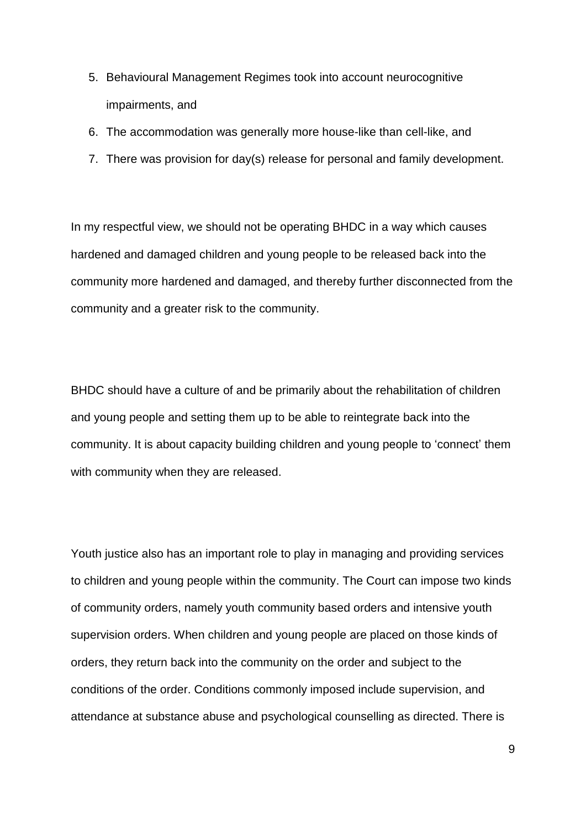- 5. Behavioural Management Regimes took into account neurocognitive impairments, and
- 6. The accommodation was generally more house-like than cell-like, and
- 7. There was provision for day(s) release for personal and family development.

In my respectful view, we should not be operating BHDC in a way which causes hardened and damaged children and young people to be released back into the community more hardened and damaged, and thereby further disconnected from the community and a greater risk to the community.

BHDC should have a culture of and be primarily about the rehabilitation of children and young people and setting them up to be able to reintegrate back into the community. It is about capacity building children and young people to 'connect' them with community when they are released.

Youth justice also has an important role to play in managing and providing services to children and young people within the community. The Court can impose two kinds of community orders, namely youth community based orders and intensive youth supervision orders. When children and young people are placed on those kinds of orders, they return back into the community on the order and subject to the conditions of the order. Conditions commonly imposed include supervision, and attendance at substance abuse and psychological counselling as directed. There is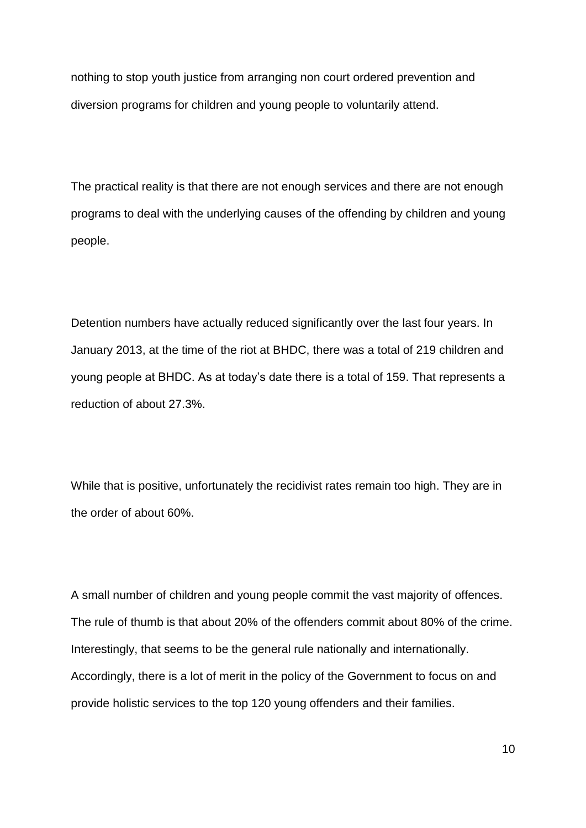nothing to stop youth justice from arranging non court ordered prevention and diversion programs for children and young people to voluntarily attend.

The practical reality is that there are not enough services and there are not enough programs to deal with the underlying causes of the offending by children and young people.

Detention numbers have actually reduced significantly over the last four years. In January 2013, at the time of the riot at BHDC, there was a total of 219 children and young people at BHDC. As at today's date there is a total of 159. That represents a reduction of about 27.3%.

While that is positive, unfortunately the recidivist rates remain too high. They are in the order of about 60%.

A small number of children and young people commit the vast majority of offences. The rule of thumb is that about 20% of the offenders commit about 80% of the crime. Interestingly, that seems to be the general rule nationally and internationally. Accordingly, there is a lot of merit in the policy of the Government to focus on and provide holistic services to the top 120 young offenders and their families.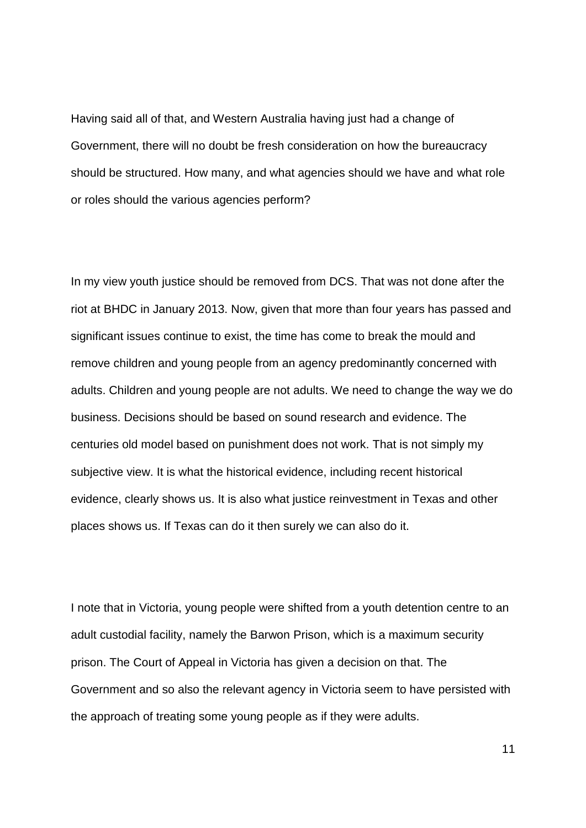Having said all of that, and Western Australia having just had a change of Government, there will no doubt be fresh consideration on how the bureaucracy should be structured. How many, and what agencies should we have and what role or roles should the various agencies perform?

In my view youth justice should be removed from DCS. That was not done after the riot at BHDC in January 2013. Now, given that more than four years has passed and significant issues continue to exist, the time has come to break the mould and remove children and young people from an agency predominantly concerned with adults. Children and young people are not adults. We need to change the way we do business. Decisions should be based on sound research and evidence. The centuries old model based on punishment does not work. That is not simply my subjective view. It is what the historical evidence, including recent historical evidence, clearly shows us. It is also what justice reinvestment in Texas and other places shows us. If Texas can do it then surely we can also do it.

I note that in Victoria, young people were shifted from a youth detention centre to an adult custodial facility, namely the Barwon Prison, which is a maximum security prison. The Court of Appeal in Victoria has given a decision on that. The Government and so also the relevant agency in Victoria seem to have persisted with the approach of treating some young people as if they were adults.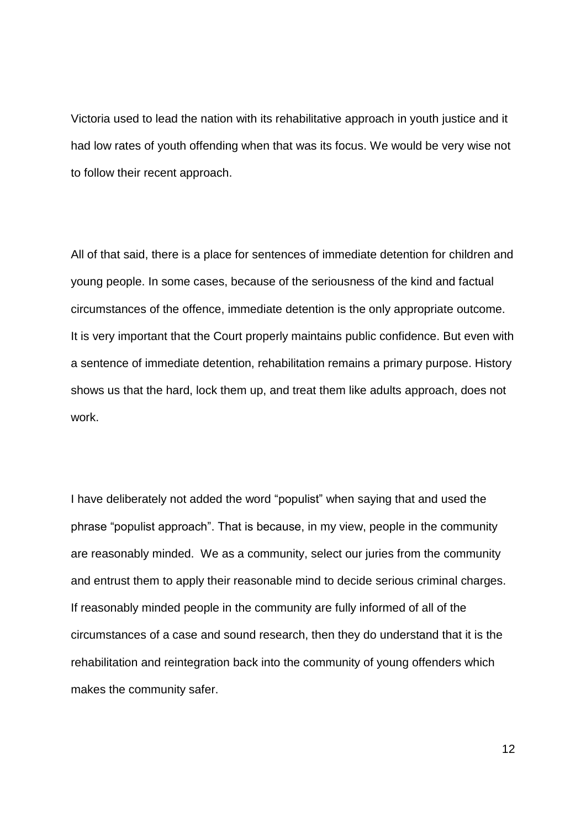Victoria used to lead the nation with its rehabilitative approach in youth justice and it had low rates of youth offending when that was its focus. We would be very wise not to follow their recent approach.

All of that said, there is a place for sentences of immediate detention for children and young people. In some cases, because of the seriousness of the kind and factual circumstances of the offence, immediate detention is the only appropriate outcome. It is very important that the Court properly maintains public confidence. But even with a sentence of immediate detention, rehabilitation remains a primary purpose. History shows us that the hard, lock them up, and treat them like adults approach, does not work.

I have deliberately not added the word "populist" when saying that and used the phrase "populist approach". That is because, in my view, people in the community are reasonably minded. We as a community, select our juries from the community and entrust them to apply their reasonable mind to decide serious criminal charges. If reasonably minded people in the community are fully informed of all of the circumstances of a case and sound research, then they do understand that it is the rehabilitation and reintegration back into the community of young offenders which makes the community safer.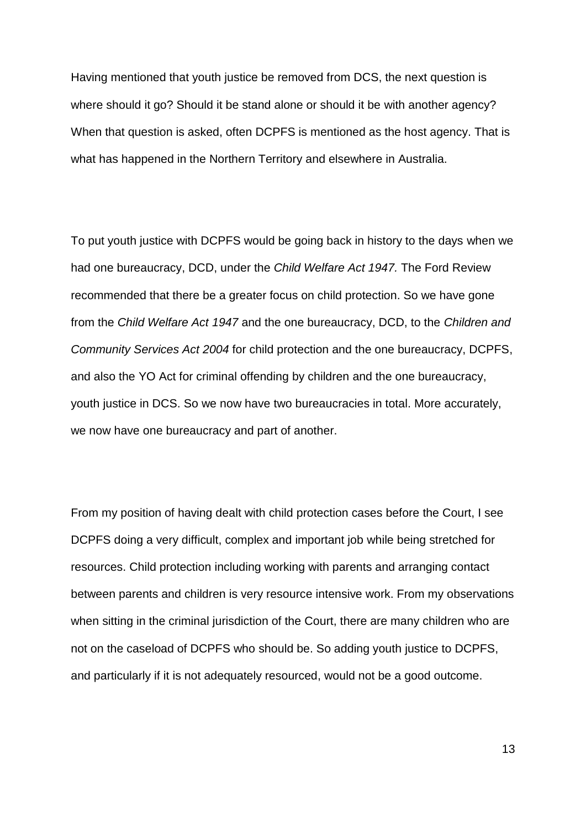Having mentioned that youth justice be removed from DCS, the next question is where should it go? Should it be stand alone or should it be with another agency? When that question is asked, often DCPFS is mentioned as the host agency. That is what has happened in the Northern Territory and elsewhere in Australia.

To put youth justice with DCPFS would be going back in history to the days when we had one bureaucracy, DCD, under the *Child Welfare Act 1947.* The Ford Review recommended that there be a greater focus on child protection. So we have gone from the *Child Welfare Act 1947* and the one bureaucracy, DCD, to the *Children and Community Services Act 2004* for child protection and the one bureaucracy, DCPFS, and also the YO Act for criminal offending by children and the one bureaucracy, youth justice in DCS. So we now have two bureaucracies in total. More accurately, we now have one bureaucracy and part of another.

From my position of having dealt with child protection cases before the Court, I see DCPFS doing a very difficult, complex and important job while being stretched for resources. Child protection including working with parents and arranging contact between parents and children is very resource intensive work. From my observations when sitting in the criminal jurisdiction of the Court, there are many children who are not on the caseload of DCPFS who should be. So adding youth justice to DCPFS, and particularly if it is not adequately resourced, would not be a good outcome.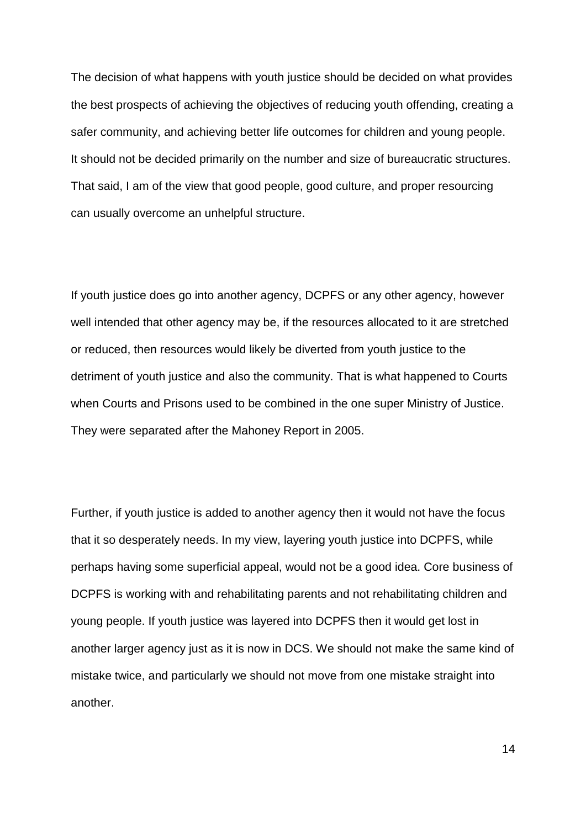The decision of what happens with youth justice should be decided on what provides the best prospects of achieving the objectives of reducing youth offending, creating a safer community, and achieving better life outcomes for children and young people. It should not be decided primarily on the number and size of bureaucratic structures. That said, I am of the view that good people, good culture, and proper resourcing can usually overcome an unhelpful structure.

If youth justice does go into another agency, DCPFS or any other agency, however well intended that other agency may be, if the resources allocated to it are stretched or reduced, then resources would likely be diverted from youth justice to the detriment of youth justice and also the community. That is what happened to Courts when Courts and Prisons used to be combined in the one super Ministry of Justice. They were separated after the Mahoney Report in 2005.

Further, if youth justice is added to another agency then it would not have the focus that it so desperately needs. In my view, layering youth justice into DCPFS, while perhaps having some superficial appeal, would not be a good idea. Core business of DCPFS is working with and rehabilitating parents and not rehabilitating children and young people. If youth justice was layered into DCPFS then it would get lost in another larger agency just as it is now in DCS. We should not make the same kind of mistake twice, and particularly we should not move from one mistake straight into another.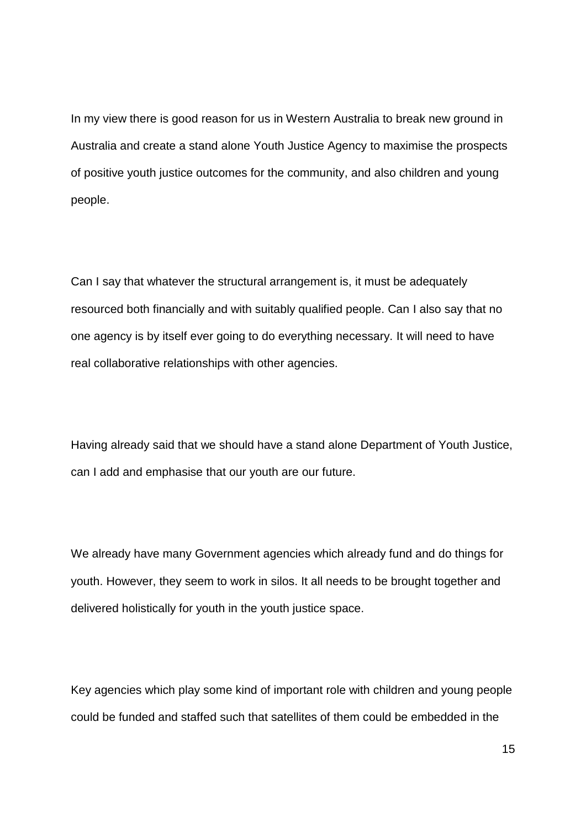In my view there is good reason for us in Western Australia to break new ground in Australia and create a stand alone Youth Justice Agency to maximise the prospects of positive youth justice outcomes for the community, and also children and young people.

Can I say that whatever the structural arrangement is, it must be adequately resourced both financially and with suitably qualified people. Can I also say that no one agency is by itself ever going to do everything necessary. It will need to have real collaborative relationships with other agencies.

Having already said that we should have a stand alone Department of Youth Justice, can I add and emphasise that our youth are our future.

We already have many Government agencies which already fund and do things for youth. However, they seem to work in silos. It all needs to be brought together and delivered holistically for youth in the youth justice space.

Key agencies which play some kind of important role with children and young people could be funded and staffed such that satellites of them could be embedded in the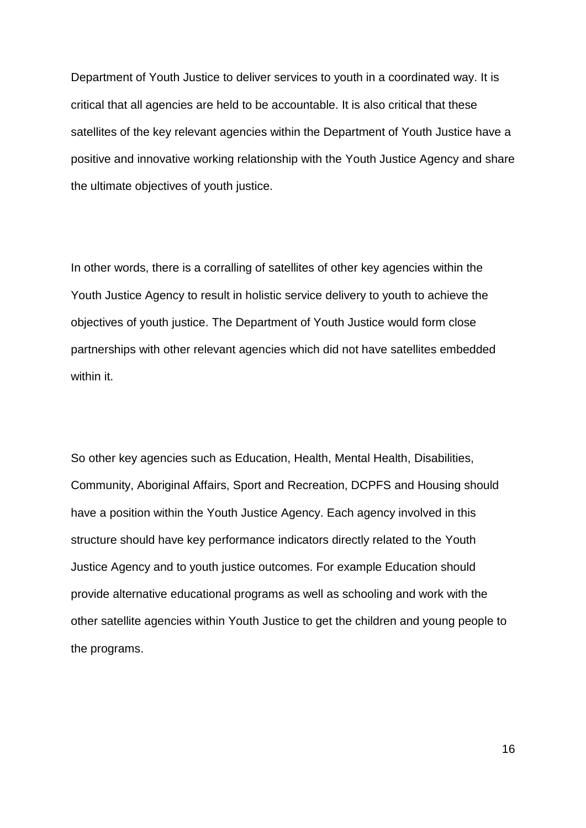Department of Youth Justice to deliver services to youth in a coordinated way. It is critical that all agencies are held to be accountable. It is also critical that these satellites of the key relevant agencies within the Department of Youth Justice have a positive and innovative working relationship with the Youth Justice Agency and share the ultimate objectives of youth justice.

In other words, there is a corralling of satellites of other key agencies within the Youth Justice Agency to result in holistic service delivery to youth to achieve the objectives of youth justice. The Department of Youth Justice would form close partnerships with other relevant agencies which did not have satellites embedded within it.

So other key agencies such as Education, Health, Mental Health, Disabilities, Community, Aboriginal Affairs, Sport and Recreation, DCPFS and Housing should have a position within the Youth Justice Agency. Each agency involved in this structure should have key performance indicators directly related to the Youth Justice Agency and to youth justice outcomes. For example Education should provide alternative educational programs as well as schooling and work with the other satellite agencies within Youth Justice to get the children and young people to the programs.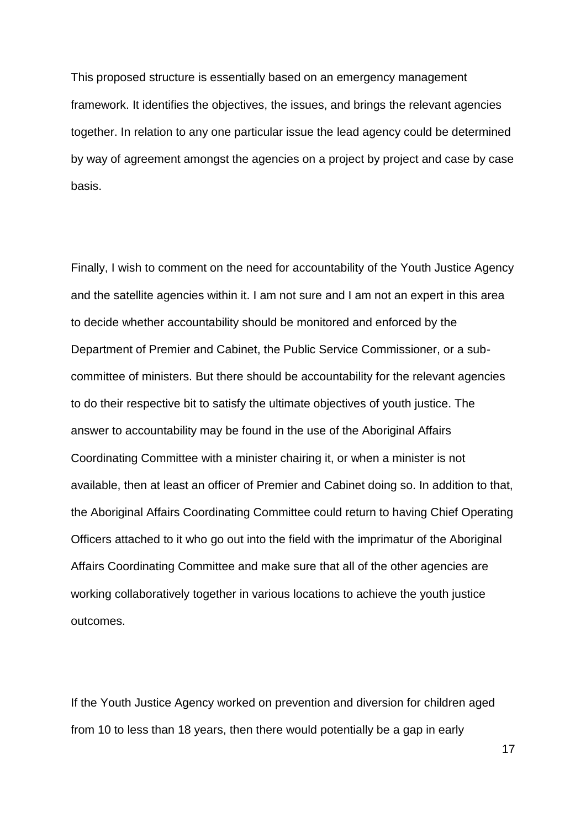This proposed structure is essentially based on an emergency management framework. It identifies the objectives, the issues, and brings the relevant agencies together. In relation to any one particular issue the lead agency could be determined by way of agreement amongst the agencies on a project by project and case by case basis.

Finally, I wish to comment on the need for accountability of the Youth Justice Agency and the satellite agencies within it. I am not sure and I am not an expert in this area to decide whether accountability should be monitored and enforced by the Department of Premier and Cabinet, the Public Service Commissioner, or a subcommittee of ministers. But there should be accountability for the relevant agencies to do their respective bit to satisfy the ultimate objectives of youth justice. The answer to accountability may be found in the use of the Aboriginal Affairs Coordinating Committee with a minister chairing it, or when a minister is not available, then at least an officer of Premier and Cabinet doing so. In addition to that, the Aboriginal Affairs Coordinating Committee could return to having Chief Operating Officers attached to it who go out into the field with the imprimatur of the Aboriginal Affairs Coordinating Committee and make sure that all of the other agencies are working collaboratively together in various locations to achieve the youth justice outcomes.

If the Youth Justice Agency worked on prevention and diversion for children aged from 10 to less than 18 years, then there would potentially be a gap in early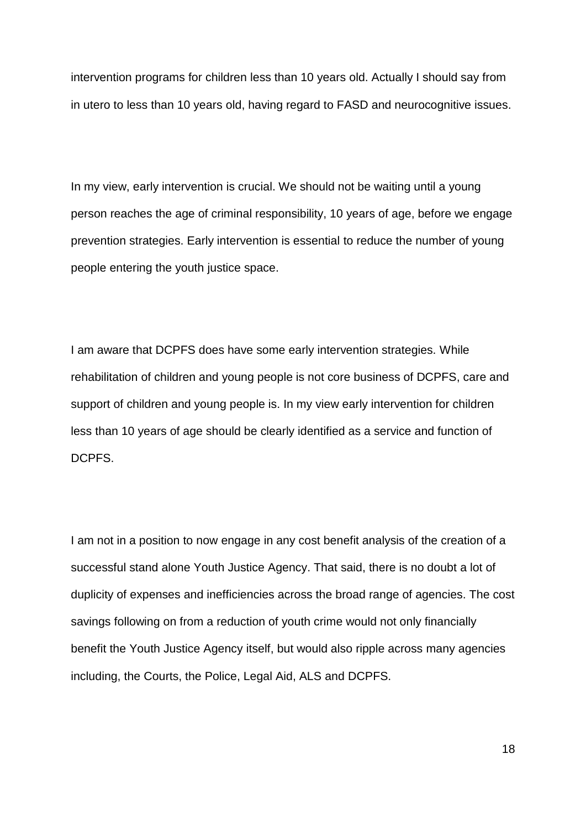intervention programs for children less than 10 years old. Actually I should say from in utero to less than 10 years old, having regard to FASD and neurocognitive issues.

In my view, early intervention is crucial. We should not be waiting until a young person reaches the age of criminal responsibility, 10 years of age, before we engage prevention strategies. Early intervention is essential to reduce the number of young people entering the youth justice space.

I am aware that DCPFS does have some early intervention strategies. While rehabilitation of children and young people is not core business of DCPFS, care and support of children and young people is. In my view early intervention for children less than 10 years of age should be clearly identified as a service and function of DCPFS.

I am not in a position to now engage in any cost benefit analysis of the creation of a successful stand alone Youth Justice Agency. That said, there is no doubt a lot of duplicity of expenses and inefficiencies across the broad range of agencies. The cost savings following on from a reduction of youth crime would not only financially benefit the Youth Justice Agency itself, but would also ripple across many agencies including, the Courts, the Police, Legal Aid, ALS and DCPFS.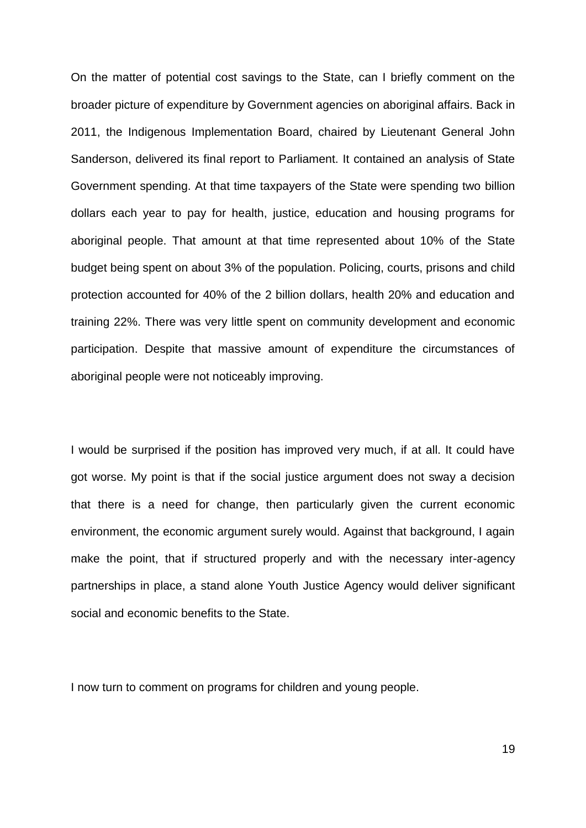On the matter of potential cost savings to the State, can I briefly comment on the broader picture of expenditure by Government agencies on aboriginal affairs. Back in 2011, the Indigenous Implementation Board, chaired by Lieutenant General John Sanderson, delivered its final report to Parliament. It contained an analysis of State Government spending. At that time taxpayers of the State were spending two billion dollars each year to pay for health, justice, education and housing programs for aboriginal people. That amount at that time represented about 10% of the State budget being spent on about 3% of the population. Policing, courts, prisons and child protection accounted for 40% of the 2 billion dollars, health 20% and education and training 22%. There was very little spent on community development and economic participation. Despite that massive amount of expenditure the circumstances of aboriginal people were not noticeably improving.

I would be surprised if the position has improved very much, if at all. It could have got worse. My point is that if the social justice argument does not sway a decision that there is a need for change, then particularly given the current economic environment, the economic argument surely would. Against that background, I again make the point, that if structured properly and with the necessary inter-agency partnerships in place, a stand alone Youth Justice Agency would deliver significant social and economic benefits to the State.

I now turn to comment on programs for children and young people.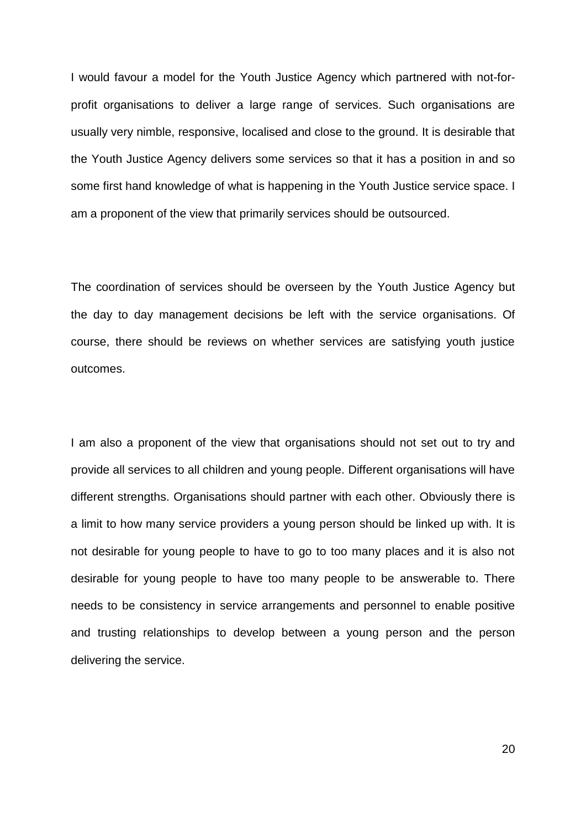I would favour a model for the Youth Justice Agency which partnered with not-forprofit organisations to deliver a large range of services. Such organisations are usually very nimble, responsive, localised and close to the ground. It is desirable that the Youth Justice Agency delivers some services so that it has a position in and so some first hand knowledge of what is happening in the Youth Justice service space. I am a proponent of the view that primarily services should be outsourced.

The coordination of services should be overseen by the Youth Justice Agency but the day to day management decisions be left with the service organisations. Of course, there should be reviews on whether services are satisfying youth justice outcomes.

I am also a proponent of the view that organisations should not set out to try and provide all services to all children and young people. Different organisations will have different strengths. Organisations should partner with each other. Obviously there is a limit to how many service providers a young person should be linked up with. It is not desirable for young people to have to go to too many places and it is also not desirable for young people to have too many people to be answerable to. There needs to be consistency in service arrangements and personnel to enable positive and trusting relationships to develop between a young person and the person delivering the service.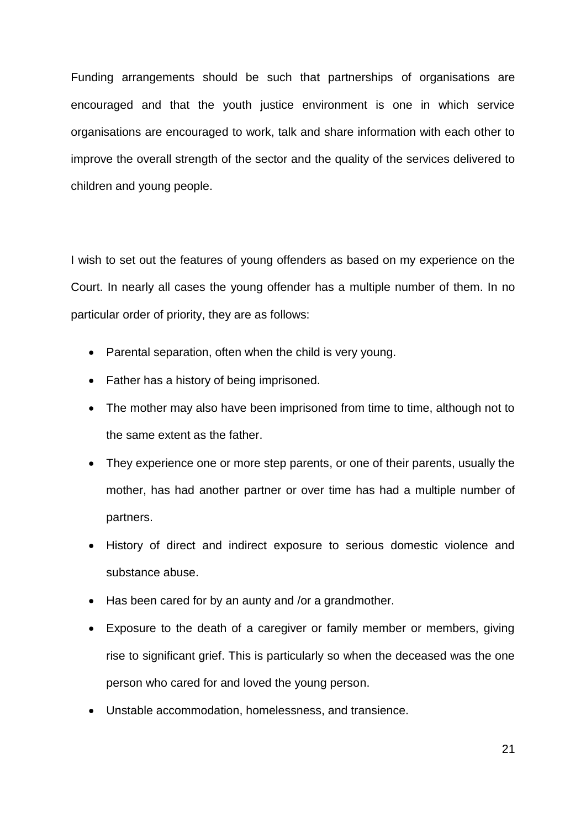Funding arrangements should be such that partnerships of organisations are encouraged and that the youth justice environment is one in which service organisations are encouraged to work, talk and share information with each other to improve the overall strength of the sector and the quality of the services delivered to children and young people.

I wish to set out the features of young offenders as based on my experience on the Court. In nearly all cases the young offender has a multiple number of them. In no particular order of priority, they are as follows:

- Parental separation, often when the child is very young.
- Father has a history of being imprisoned.
- The mother may also have been imprisoned from time to time, although not to the same extent as the father.
- They experience one or more step parents, or one of their parents, usually the mother, has had another partner or over time has had a multiple number of partners.
- History of direct and indirect exposure to serious domestic violence and substance abuse.
- Has been cared for by an aunty and /or a grandmother.
- Exposure to the death of a caregiver or family member or members, giving rise to significant grief. This is particularly so when the deceased was the one person who cared for and loved the young person.
- Unstable accommodation, homelessness, and transience.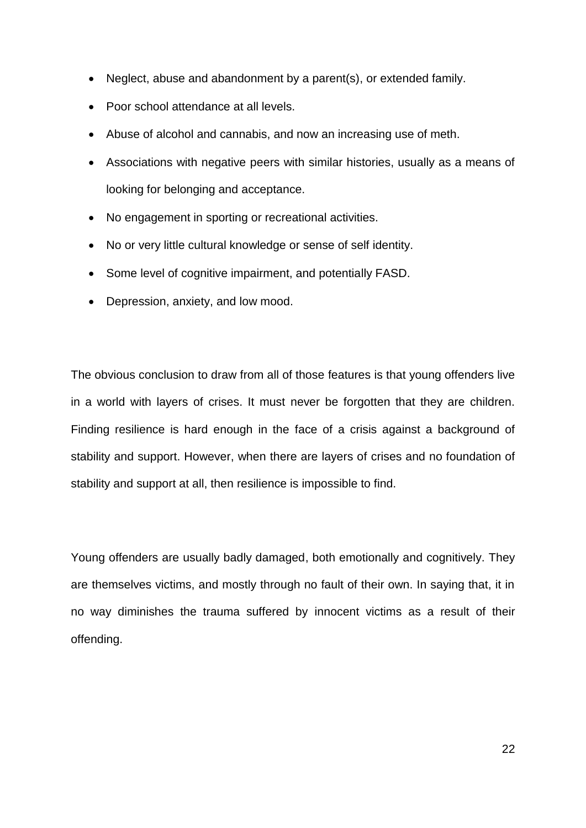- Neglect, abuse and abandonment by a parent(s), or extended family.
- Poor school attendance at all levels.
- Abuse of alcohol and cannabis, and now an increasing use of meth.
- Associations with negative peers with similar histories, usually as a means of looking for belonging and acceptance.
- No engagement in sporting or recreational activities.
- No or very little cultural knowledge or sense of self identity.
- Some level of cognitive impairment, and potentially FASD.
- Depression, anxiety, and low mood.

The obvious conclusion to draw from all of those features is that young offenders live in a world with layers of crises. It must never be forgotten that they are children. Finding resilience is hard enough in the face of a crisis against a background of stability and support. However, when there are layers of crises and no foundation of stability and support at all, then resilience is impossible to find.

Young offenders are usually badly damaged, both emotionally and cognitively. They are themselves victims, and mostly through no fault of their own. In saying that, it in no way diminishes the trauma suffered by innocent victims as a result of their offending.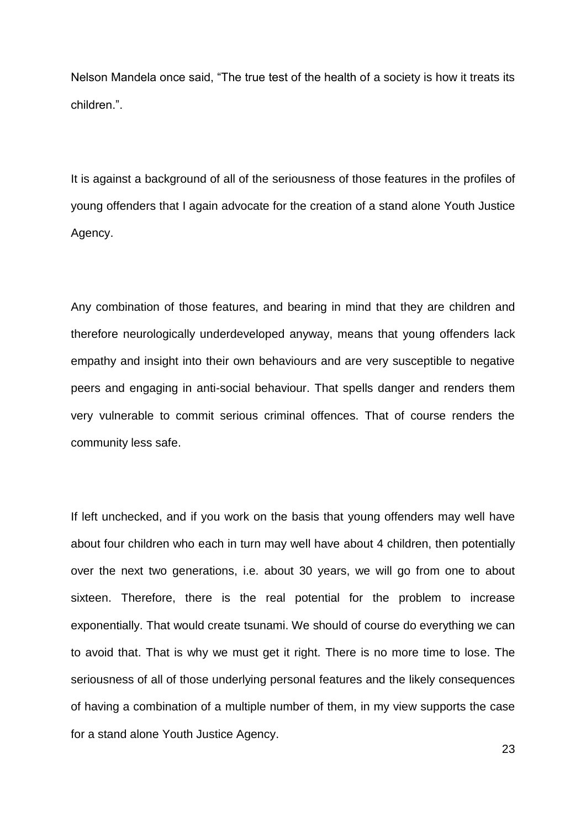Nelson Mandela once said, "The true test of the health of a society is how it treats its children.".

It is against a background of all of the seriousness of those features in the profiles of young offenders that I again advocate for the creation of a stand alone Youth Justice Agency.

Any combination of those features, and bearing in mind that they are children and therefore neurologically underdeveloped anyway, means that young offenders lack empathy and insight into their own behaviours and are very susceptible to negative peers and engaging in anti-social behaviour. That spells danger and renders them very vulnerable to commit serious criminal offences. That of course renders the community less safe.

If left unchecked, and if you work on the basis that young offenders may well have about four children who each in turn may well have about 4 children, then potentially over the next two generations, i.e. about 30 years, we will go from one to about sixteen. Therefore, there is the real potential for the problem to increase exponentially. That would create tsunami. We should of course do everything we can to avoid that. That is why we must get it right. There is no more time to lose. The seriousness of all of those underlying personal features and the likely consequences of having a combination of a multiple number of them, in my view supports the case for a stand alone Youth Justice Agency.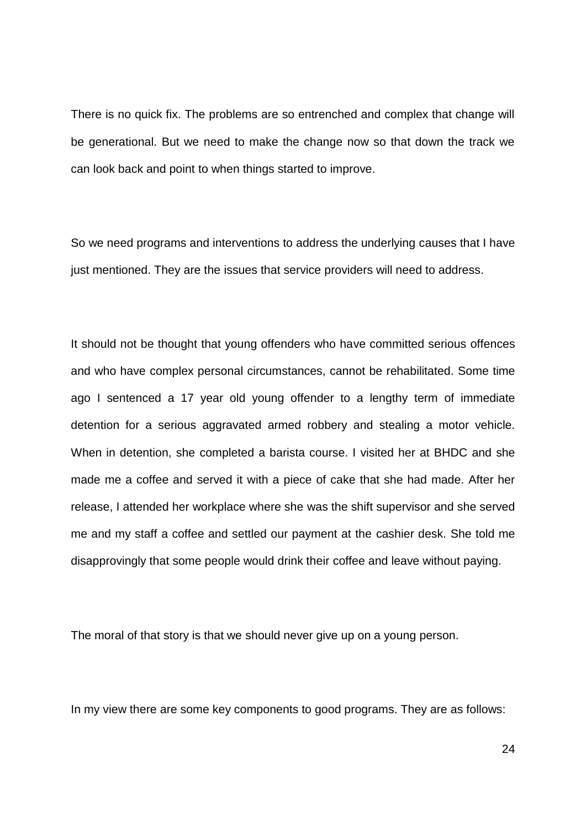There is no quick fix. The problems are so entrenched and complex that change will be generational. But we need to make the change now so that down the track we can look back and point to when things started to improve.

So we need programs and interventions to address the underlying causes that I have just mentioned. They are the issues that service providers will need to address.

It should not be thought that young offenders who have committed serious offences and who have complex personal circumstances, cannot be rehabilitated. Some time ago I sentenced a 17 year old young offender to a lengthy term of immediate detention for a serious aggravated armed robbery and stealing a motor vehicle. When in detention, she completed a barista course. I visited her at BHDC and she made me a coffee and served it with a piece of cake that she had made. After her release, I attended her workplace where she was the shift supervisor and she served me and my staff a coffee and settled our payment at the cashier desk. She told me disapprovingly that some people would drink their coffee and leave without paying.

The moral of that story is that we should never give up on a young person.

In my view there are some key components to good programs. They are as follows: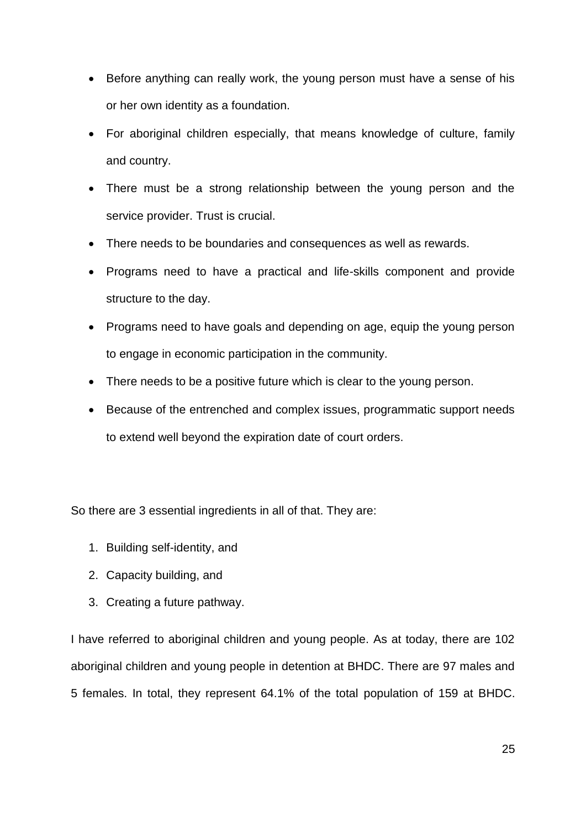- Before anything can really work, the young person must have a sense of his or her own identity as a foundation.
- For aboriginal children especially, that means knowledge of culture, family and country.
- There must be a strong relationship between the young person and the service provider. Trust is crucial.
- There needs to be boundaries and consequences as well as rewards.
- Programs need to have a practical and life-skills component and provide structure to the day.
- Programs need to have goals and depending on age, equip the young person to engage in economic participation in the community.
- There needs to be a positive future which is clear to the young person.
- Because of the entrenched and complex issues, programmatic support needs to extend well beyond the expiration date of court orders.

So there are 3 essential ingredients in all of that. They are:

- 1. Building self-identity, and
- 2. Capacity building, and
- 3. Creating a future pathway.

I have referred to aboriginal children and young people. As at today, there are 102 aboriginal children and young people in detention at BHDC. There are 97 males and 5 females. In total, they represent 64.1% of the total population of 159 at BHDC.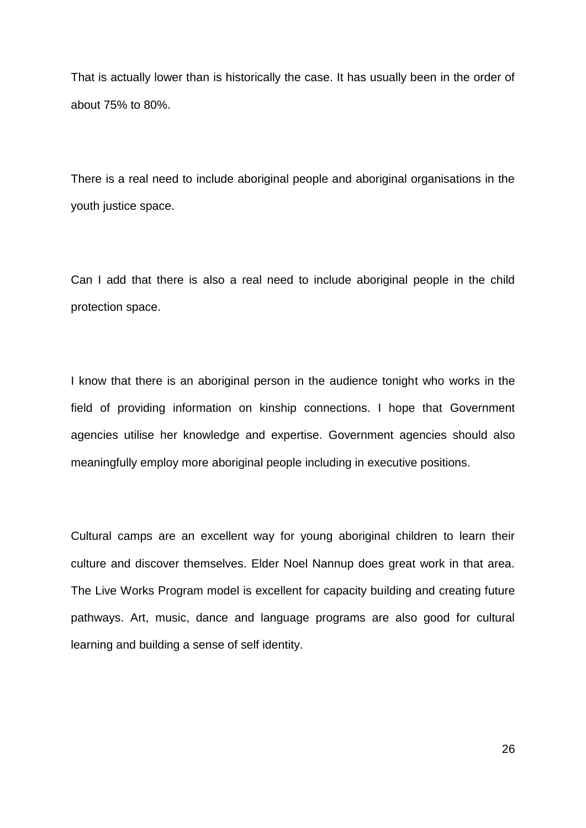That is actually lower than is historically the case. It has usually been in the order of about 75% to 80%.

There is a real need to include aboriginal people and aboriginal organisations in the youth justice space.

Can I add that there is also a real need to include aboriginal people in the child protection space.

I know that there is an aboriginal person in the audience tonight who works in the field of providing information on kinship connections. I hope that Government agencies utilise her knowledge and expertise. Government agencies should also meaningfully employ more aboriginal people including in executive positions.

Cultural camps are an excellent way for young aboriginal children to learn their culture and discover themselves. Elder Noel Nannup does great work in that area. The Live Works Program model is excellent for capacity building and creating future pathways. Art, music, dance and language programs are also good for cultural learning and building a sense of self identity.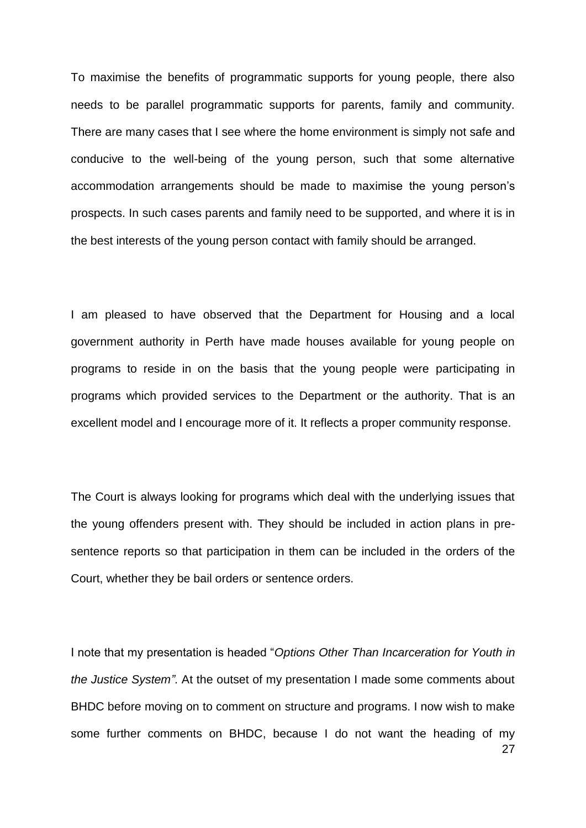To maximise the benefits of programmatic supports for young people, there also needs to be parallel programmatic supports for parents, family and community. There are many cases that I see where the home environment is simply not safe and conducive to the well-being of the young person, such that some alternative accommodation arrangements should be made to maximise the young person's prospects. In such cases parents and family need to be supported, and where it is in the best interests of the young person contact with family should be arranged.

I am pleased to have observed that the Department for Housing and a local government authority in Perth have made houses available for young people on programs to reside in on the basis that the young people were participating in programs which provided services to the Department or the authority. That is an excellent model and I encourage more of it. It reflects a proper community response.

The Court is always looking for programs which deal with the underlying issues that the young offenders present with. They should be included in action plans in presentence reports so that participation in them can be included in the orders of the Court, whether they be bail orders or sentence orders.

27 I note that my presentation is headed "*Options Other Than Incarceration for Youth in the Justice System"*. At the outset of my presentation I made some comments about BHDC before moving on to comment on structure and programs. I now wish to make some further comments on BHDC, because I do not want the heading of my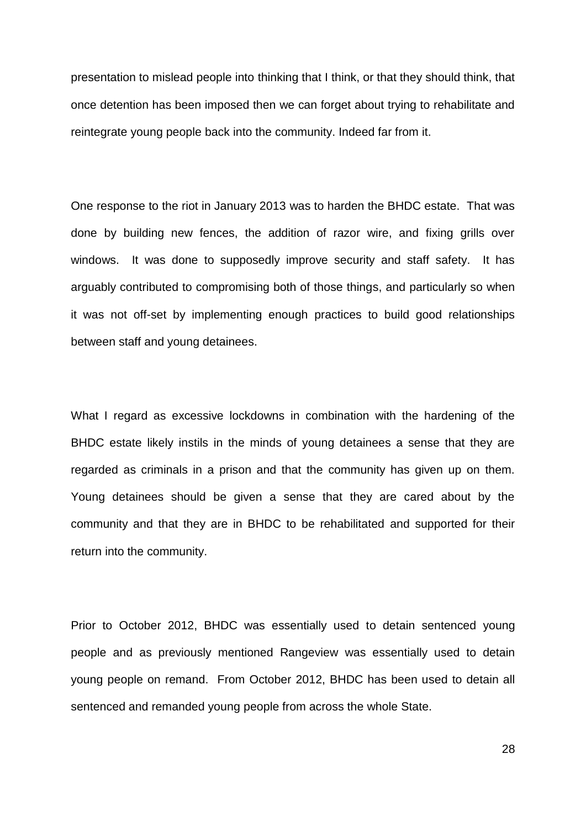presentation to mislead people into thinking that I think, or that they should think, that once detention has been imposed then we can forget about trying to rehabilitate and reintegrate young people back into the community. Indeed far from it.

One response to the riot in January 2013 was to harden the BHDC estate. That was done by building new fences, the addition of razor wire, and fixing grills over windows. It was done to supposedly improve security and staff safety. It has arguably contributed to compromising both of those things, and particularly so when it was not off-set by implementing enough practices to build good relationships between staff and young detainees.

What I regard as excessive lockdowns in combination with the hardening of the BHDC estate likely instils in the minds of young detainees a sense that they are regarded as criminals in a prison and that the community has given up on them. Young detainees should be given a sense that they are cared about by the community and that they are in BHDC to be rehabilitated and supported for their return into the community.

Prior to October 2012, BHDC was essentially used to detain sentenced young people and as previously mentioned Rangeview was essentially used to detain young people on remand. From October 2012, BHDC has been used to detain all sentenced and remanded young people from across the whole State.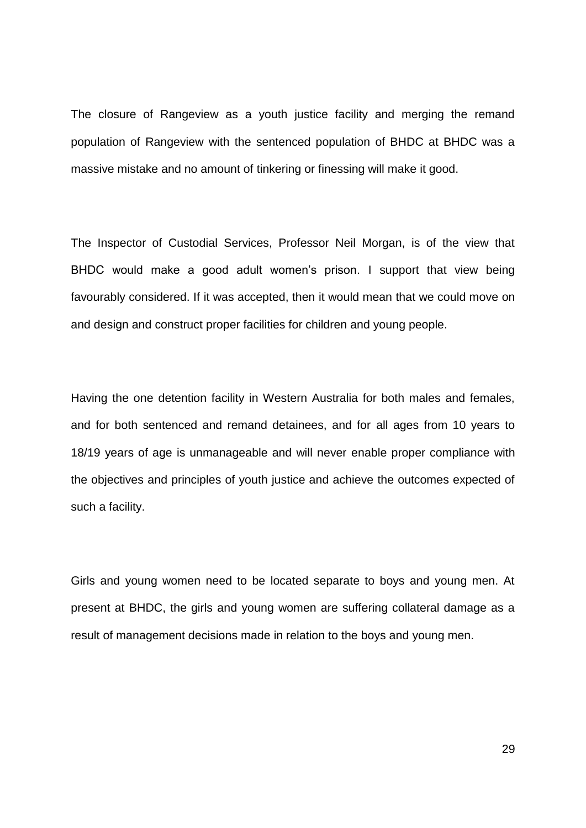The closure of Rangeview as a youth justice facility and merging the remand population of Rangeview with the sentenced population of BHDC at BHDC was a massive mistake and no amount of tinkering or finessing will make it good.

The Inspector of Custodial Services, Professor Neil Morgan, is of the view that BHDC would make a good adult women's prison. I support that view being favourably considered. If it was accepted, then it would mean that we could move on and design and construct proper facilities for children and young people.

Having the one detention facility in Western Australia for both males and females, and for both sentenced and remand detainees, and for all ages from 10 years to 18/19 years of age is unmanageable and will never enable proper compliance with the objectives and principles of youth justice and achieve the outcomes expected of such a facility.

Girls and young women need to be located separate to boys and young men. At present at BHDC, the girls and young women are suffering collateral damage as a result of management decisions made in relation to the boys and young men.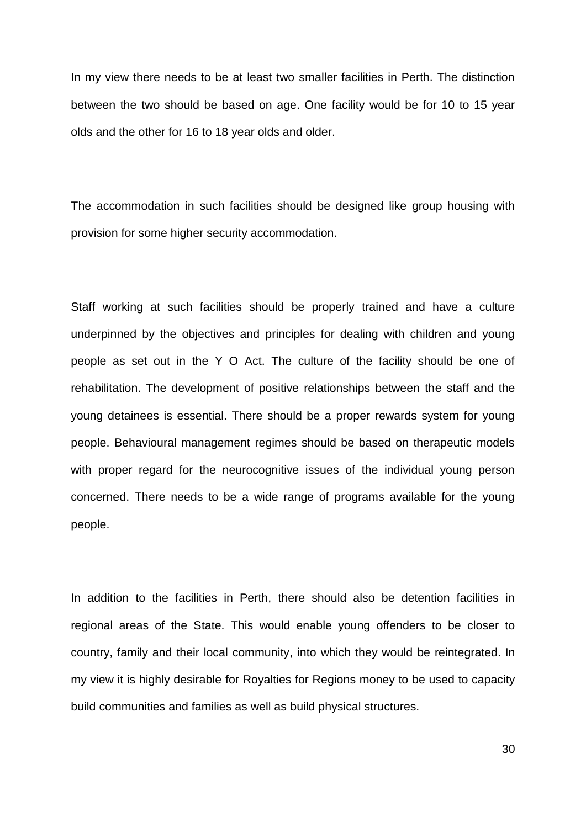In my view there needs to be at least two smaller facilities in Perth. The distinction between the two should be based on age. One facility would be for 10 to 15 year olds and the other for 16 to 18 year olds and older.

The accommodation in such facilities should be designed like group housing with provision for some higher security accommodation.

Staff working at such facilities should be properly trained and have a culture underpinned by the objectives and principles for dealing with children and young people as set out in the Y O Act. The culture of the facility should be one of rehabilitation. The development of positive relationships between the staff and the young detainees is essential. There should be a proper rewards system for young people. Behavioural management regimes should be based on therapeutic models with proper regard for the neurocognitive issues of the individual young person concerned. There needs to be a wide range of programs available for the young people.

In addition to the facilities in Perth, there should also be detention facilities in regional areas of the State. This would enable young offenders to be closer to country, family and their local community, into which they would be reintegrated. In my view it is highly desirable for Royalties for Regions money to be used to capacity build communities and families as well as build physical structures.